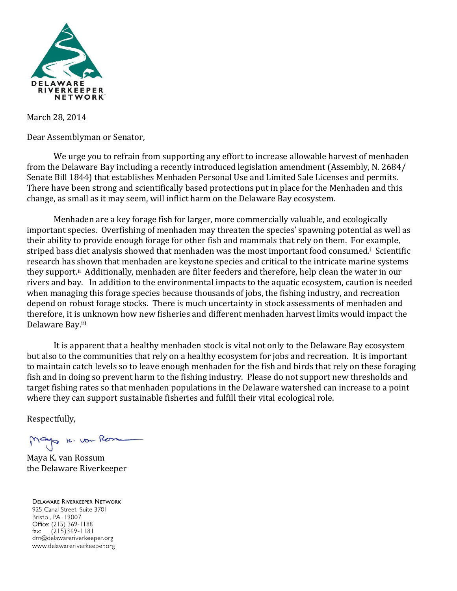

March 28, 2014

Dear Assemblyman or Senator,

We urge you to refrain from supporting any effort to increase allowable harvest of menhaden from the Delaware Bay including a recently introduced legislation amendment (Assembly, N. 2684/ Senate Bill 1844) that establishes Menhaden Personal Use and Limited Sale Licenses and permits. There have been strong and scientifically based protections put in place for the Menhaden and this change, as small as it may seem, will inflict harm on the Delaware Bay ecosystem.

Menhaden are a key forage fish for larger, more commercially valuable, and ecologically important species. Overfishing of menhaden may threaten the species' spawning potential as well as their ability to provide enough forage for other fish and mammals that rely on them. For example, striped bass diet analysis showed that menhaden was the most important food consumed.<sup>i</sup> Scientific research has shown that menhaden are keystone species and critical to the intricate marine systems they support.<sup>ii</sup> Additionally, menhaden are filter feeders and therefore, help clean the water in our rivers and bay. In addition to the environmental impacts to the aquatic ecosystem, caution is needed when managing this forage species because thousands of jobs, the fishing industry, and recreation depend on robust forage stocks. There is much uncertainty in stock assessments of menhaden and therefore, it is unknown how new fisheries and different menhaden harvest limits would impact the Delaware Bay.iii

It is apparent that a healthy menhaden stock is vital not only to the Delaware Bay ecosystem but also to the communities that rely on a healthy ecosystem for jobs and recreation. It is important to maintain catch levels so to leave enough menhaden for the fish and birds that rely on these foraging fish and in doing so prevent harm to the fishing industry. Please do not support new thresholds and target fishing rates so that menhaden populations in the Delaware watershed can increase to a point where they can support sustainable fisheries and fulfill their vital ecological role.

Respectfully,

Mayo k. von Rom

Maya K. van Rossum the Delaware Riverkeeper

**DELAWARE RIVERKEEPER NETWORK** 925 Canal Street, Suite 3701 Bristol, PA 19007 Office: (215) 369-1188 fax:  $(215)369 - 1181$ drn@delawareriverkeeper.org www.delawareriverkeeper.org